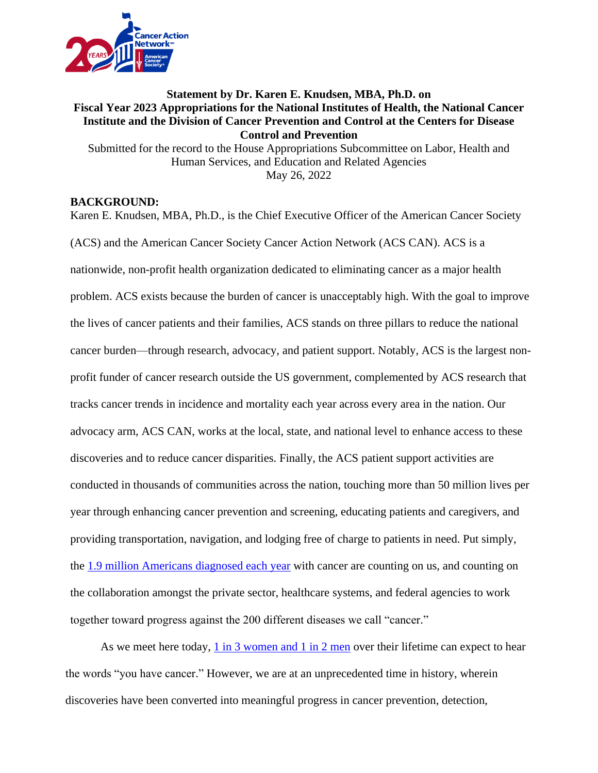

## **Statement by Dr. Karen E. Knudsen, MBA, Ph.D. on Fiscal Year 2023 Appropriations for the National Institutes of Health, the National Cancer Institute and the Division of Cancer Prevention and Control at the Centers for Disease Control and Prevention** Submitted for the record to the House Appropriations Subcommittee on Labor, Health and Human Services, and Education and Related Agencies

May 26, 2022

### **BACKGROUND:**

Karen E. Knudsen, MBA, Ph.D., is the Chief Executive Officer of the American Cancer Society (ACS) and the American Cancer Society Cancer Action Network (ACS CAN). ACS is a nationwide, non-profit health organization dedicated to eliminating cancer as a major health problem. ACS exists because the burden of cancer is unacceptably high. With the goal to improve the lives of cancer patients and their families, ACS stands on three pillars to reduce the national cancer burden—through research, advocacy, and patient support. Notably, ACS is the largest nonprofit funder of cancer research outside the US government, complemented by ACS research that tracks cancer trends in incidence and mortality each year across every area in the nation. Our advocacy arm, ACS CAN, works at the local, state, and national level to enhance access to these discoveries and to reduce cancer disparities. Finally, the ACS patient support activities are conducted in thousands of communities across the nation, touching more than 50 million lives per year through enhancing cancer prevention and screening, educating patients and caregivers, and providing transportation, navigation, and lodging free of charge to patients in need. Put simply, the [1.9 million Americans diagnosed each year](https://www.cancer.org/content/dam/cancer-org/research/cancer-facts-and-statistics/annual-cancer-facts-and-figures/2022/2022-cancer-facts-and-figures.pdf) with cancer are counting on us, and counting on the collaboration amongst the private sector, healthcare systems, and federal agencies to work together toward progress against the 200 different diseases we call "cancer."

As we meet here today, [1 in 3 women and 1 in 2 men](https://www.cancer.org/content/dam/cancer-org/research/cancer-facts-and-statistics/annual-cancer-facts-and-figures/2022/2022-cancer-facts-and-figures.pdf) over their lifetime can expect to hear the words "you have cancer." However, we are at an unprecedented time in history, wherein discoveries have been converted into meaningful progress in cancer prevention, detection,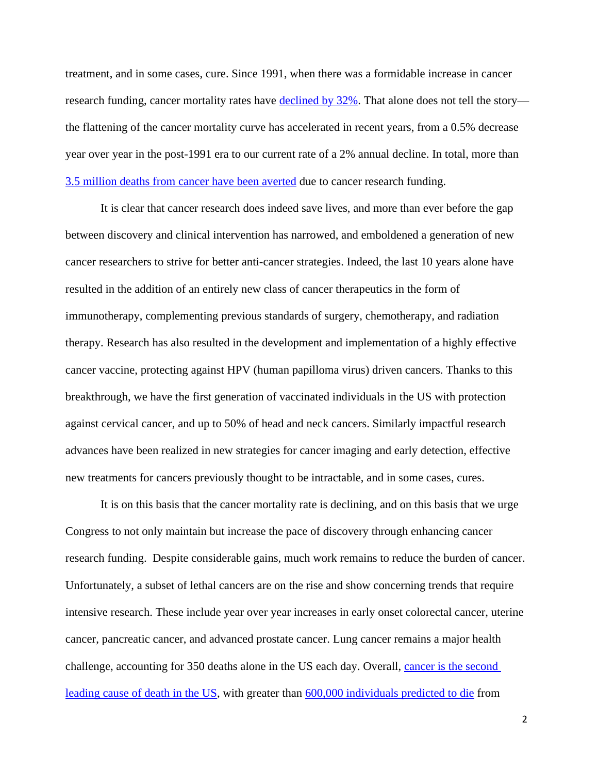treatment, and in some cases, cure. Since 1991, when there was a formidable increase in cancer research funding, cancer mortality rates have [declined by 32%.](https://www.cancer.org/content/dam/cancer-org/research/cancer-facts-and-statistics/annual-cancer-facts-and-figures/2022/2022-cancer-facts-and-figures.pdf) That alone does not tell the story the flattening of the cancer mortality curve has accelerated in recent years, from a 0.5% decrease year over year in the post-1991 era to our current rate of a 2% annual decline. In total, more than [3.5 million deaths from cancer have been averted](https://www.cancer.org/content/dam/cancer-org/research/cancer-facts-and-statistics/annual-cancer-facts-and-figures/2022/2022-cancer-facts-and-figures.pdf) due to cancer research funding.

It is clear that cancer research does indeed save lives, and more than ever before the gap between discovery and clinical intervention has narrowed, and emboldened a generation of new cancer researchers to strive for better anti-cancer strategies. Indeed, the last 10 years alone have resulted in the addition of an entirely new class of cancer therapeutics in the form of immunotherapy, complementing previous standards of surgery, chemotherapy, and radiation therapy. Research has also resulted in the development and implementation of a highly effective cancer vaccine, protecting against HPV (human papilloma virus) driven cancers. Thanks to this breakthrough, we have the first generation of vaccinated individuals in the US with protection against cervical cancer, and up to 50% of head and neck cancers. Similarly impactful research advances have been realized in new strategies for cancer imaging and early detection, effective new treatments for cancers previously thought to be intractable, and in some cases, cures.

It is on this basis that the cancer mortality rate is declining, and on this basis that we urge Congress to not only maintain but increase the pace of discovery through enhancing cancer research funding. Despite considerable gains, much work remains to reduce the burden of cancer. Unfortunately, a subset of lethal cancers are on the rise and show concerning trends that require intensive research. These include year over year increases in early onset colorectal cancer, uterine cancer, pancreatic cancer, and advanced prostate cancer. Lung cancer remains a major health challenge, accounting for 350 deaths alone in the US each day. Overall, [cancer is the second](https://www.cdc.gov/cancer/dcpc/research/update-on-cancer-deaths/index.htm#:~:text=Cancer%20was%20the%20second%20leading,females%20and%20317%2C731%20among%20males.)  [leading cause of death in the US,](https://www.cdc.gov/cancer/dcpc/research/update-on-cancer-deaths/index.htm#:~:text=Cancer%20was%20the%20second%20leading,females%20and%20317%2C731%20among%20males.) with greater than [600,000 individuals predicted to die](https://www.cancer.org/content/dam/cancer-org/research/cancer-facts-and-statistics/annual-cancer-facts-and-figures/2022/2022-cancer-facts-and-figures.pdf) from

2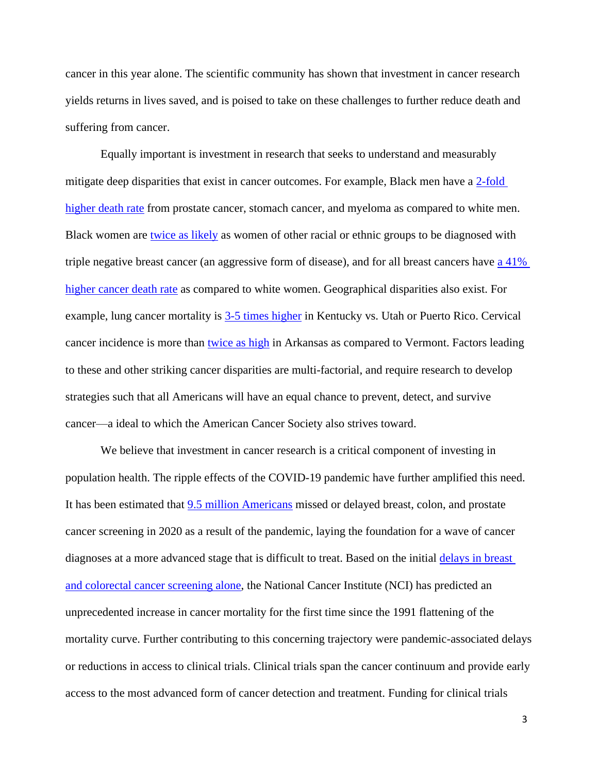cancer in this year alone. The scientific community has shown that investment in cancer research yields returns in lives saved, and is poised to take on these challenges to further reduce death and suffering from cancer.

Equally important is investment in research that seeks to understand and measurably mitigate deep disparities that exist in cancer outcomes. For example, Black men have a 2-fold [higher death rate](https://acsjournals.onlinelibrary.wiley.com/doi/10.3322/caac.21718) from prostate cancer, stomach cancer, and myeloma as compared to white men. Black women are [twice as likely](https://onlinelibrary.wiley.com/doi/10.1002/cam4.4158) as women of other racial or ethnic groups to be diagnosed with triple negative breast cancer (an aggressive form of disease), and for all breast cancers have a 41% [higher cancer death rate](https://www.cancer.org/content/dam/cancer-org/research/cancer-facts-and-statistics/annual-cancer-facts-and-figures/2022/2022-cancer-facts-and-figures.pdf) as compared to white women. Geographical disparities also exist. For example, lung cancer mortality is  $3-5$  times higher in Kentucky vs. Utah or Puerto Rico. Cervical cancer incidence is more than [twice as high](https://statecancerprofiles.cancer.gov/quick-profiles/index.php?statename=puertorico) in Arkansas as compared to Vermont. Factors leading to these and other striking cancer disparities are multi-factorial, and require research to develop strategies such that all Americans will have an equal chance to prevent, detect, and survive cancer—a ideal to which the American Cancer Society also strives toward.

We believe that investment in cancer research is a critical component of investing in population health. The ripple effects of the COVID-19 pandemic have further amplified this need. It has been estimated that [9.5 million Americans](https://jamanetwork.com/journals/jamaoncology/fullarticle/2778916) missed or delayed breast, colon, and prostate cancer screening in 2020 as a result of the pandemic, laying the foundation for a wave of cancer diagnoses at a more advanced stage that is difficult to treat. Based on the initial delays in breast [and colorectal cancer screening alone,](https://www.science.org/doi/10.1126/science.abd3377) the National Cancer Institute (NCI) has predicted an unprecedented increase in cancer mortality for the first time since the 1991 flattening of the mortality curve. Further contributing to this concerning trajectory were pandemic-associated delays or reductions in access to clinical trials. Clinical trials span the cancer continuum and provide early access to the most advanced form of cancer detection and treatment. Funding for clinical trials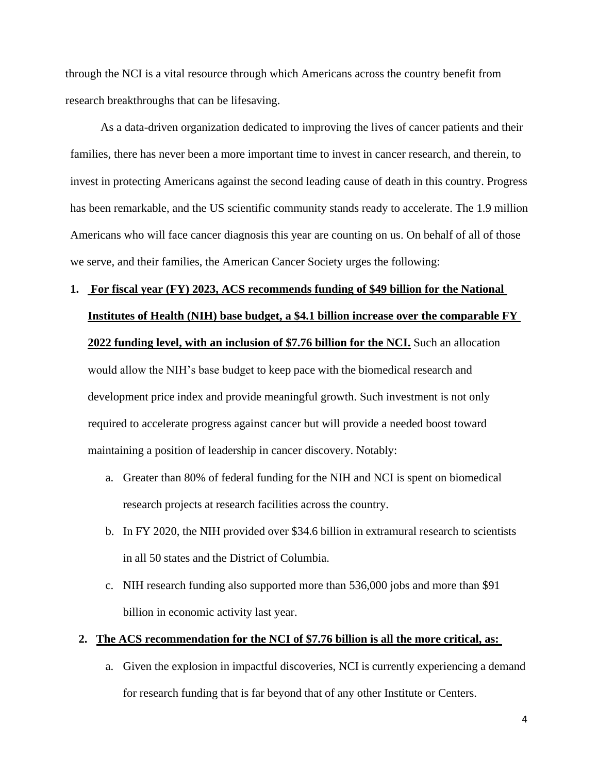through the NCI is a vital resource through which Americans across the country benefit from research breakthroughs that can be lifesaving.

As a data-driven organization dedicated to improving the lives of cancer patients and their families, there has never been a more important time to invest in cancer research, and therein, to invest in protecting Americans against the second leading cause of death in this country. Progress has been remarkable, and the US scientific community stands ready to accelerate. The 1.9 million Americans who will face cancer diagnosis this year are counting on us. On behalf of all of those we serve, and their families, the American Cancer Society urges the following:

# **1. For fiscal year (FY) 2023, ACS recommends funding of \$49 billion for the National Institutes of Health (NIH) base budget, a \$4.1 billion increase over the comparable FY**

#### **2022 funding level, with an inclusion of \$7.76 billion for the NCI.** Such an allocation

would allow the NIH's base budget to keep pace with the biomedical research and development price index and provide meaningful growth. Such investment is not only required to accelerate progress against cancer but will provide a needed boost toward maintaining a position of leadership in cancer discovery. Notably:

- a. Greater than 80% of federal funding for the NIH and NCI is spent on biomedical research projects at research facilities across the country.
- b. In FY 2020, the NIH provided over \$34.6 billion in extramural research to scientists in all 50 states and the District of Columbia.
- c. NIH research funding also supported more than 536,000 jobs and more than \$91 billion in economic activity last year.

#### **2. The ACS recommendation for the NCI of \$7.76 billion is all the more critical, as:**

a. Given the explosion in impactful discoveries, NCI is currently experiencing a demand for research funding that is far beyond that of any other Institute or Centers.